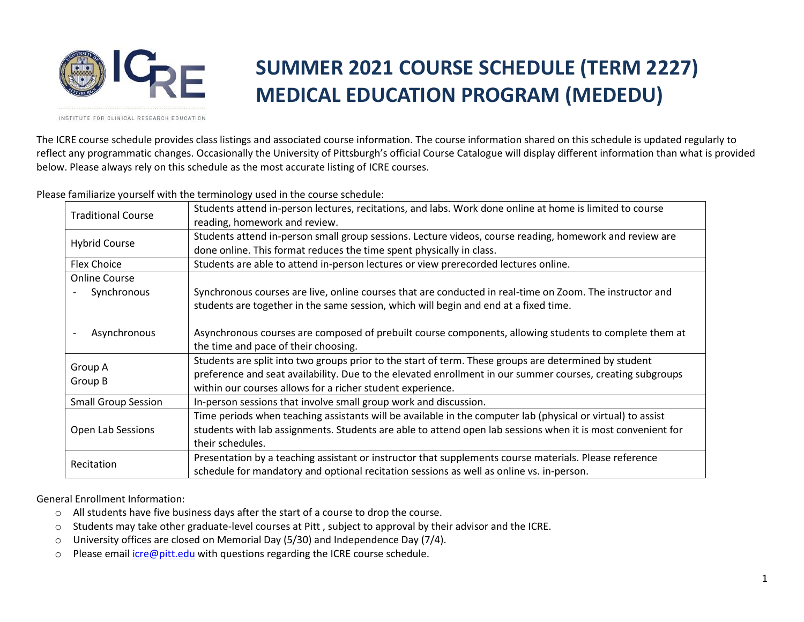

## **SUMMER 2021 COURSE SCHEDULE (TERM 2227) MEDICAL EDUCATION PROGRAM (MEDEDU)**

INSTITUTE FOR CLINICAL RESEARCH EDUCATION

The ICRE course schedule provides class listings and associated course information. The course information shared on this schedule is updated regularly to reflect any programmatic changes. Occasionally the University of Pittsburgh's official Course Catalogue will display different information than what is provided below. Please always rely on this schedule as the most accurate listing of ICRE courses.

Please familiarize yourself with the terminology used in the course schedule:

|                            | Students attend in-person lectures, recitations, and labs. Work done online at home is limited to course    |  |  |  |  |  |
|----------------------------|-------------------------------------------------------------------------------------------------------------|--|--|--|--|--|
| <b>Traditional Course</b>  |                                                                                                             |  |  |  |  |  |
|                            | reading, homework and review.                                                                               |  |  |  |  |  |
| <b>Hybrid Course</b>       | Students attend in-person small group sessions. Lecture videos, course reading, homework and review are     |  |  |  |  |  |
|                            | done online. This format reduces the time spent physically in class.                                        |  |  |  |  |  |
| <b>Flex Choice</b>         | Students are able to attend in-person lectures or view prerecorded lectures online.                         |  |  |  |  |  |
| <b>Online Course</b>       |                                                                                                             |  |  |  |  |  |
| Synchronous                | Synchronous courses are live, online courses that are conducted in real-time on Zoom. The instructor and    |  |  |  |  |  |
|                            | students are together in the same session, which will begin and end at a fixed time.                        |  |  |  |  |  |
|                            |                                                                                                             |  |  |  |  |  |
| Asynchronous               | Asynchronous courses are composed of prebuilt course components, allowing students to complete them at      |  |  |  |  |  |
|                            | the time and pace of their choosing.                                                                        |  |  |  |  |  |
| Group A<br>Group B         | Students are split into two groups prior to the start of term. These groups are determined by student       |  |  |  |  |  |
|                            | preference and seat availability. Due to the elevated enrollment in our summer courses, creating subgroups  |  |  |  |  |  |
|                            | within our courses allows for a richer student experience.                                                  |  |  |  |  |  |
| <b>Small Group Session</b> | In-person sessions that involve small group work and discussion.                                            |  |  |  |  |  |
| Open Lab Sessions          | Time periods when teaching assistants will be available in the computer lab (physical or virtual) to assist |  |  |  |  |  |
|                            | students with lab assignments. Students are able to attend open lab sessions when it is most convenient for |  |  |  |  |  |
|                            | their schedules.                                                                                            |  |  |  |  |  |
| Recitation                 | Presentation by a teaching assistant or instructor that supplements course materials. Please reference      |  |  |  |  |  |
|                            | schedule for mandatory and optional recitation sessions as well as online vs. in-person.                    |  |  |  |  |  |

General Enrollment Information:

- o All students have five business days after the start of a course to drop the course.
- $\circ$  Students may take other graduate-level courses at Pitt, subject to approval by their advisor and the ICRE.
- o University offices are closed on Memorial Day (5/30) and Independence Day (7/4).
- o Please email [icre@pitt.edu](mailto:icre@pitt.edu) with questions regarding the ICRE course schedule.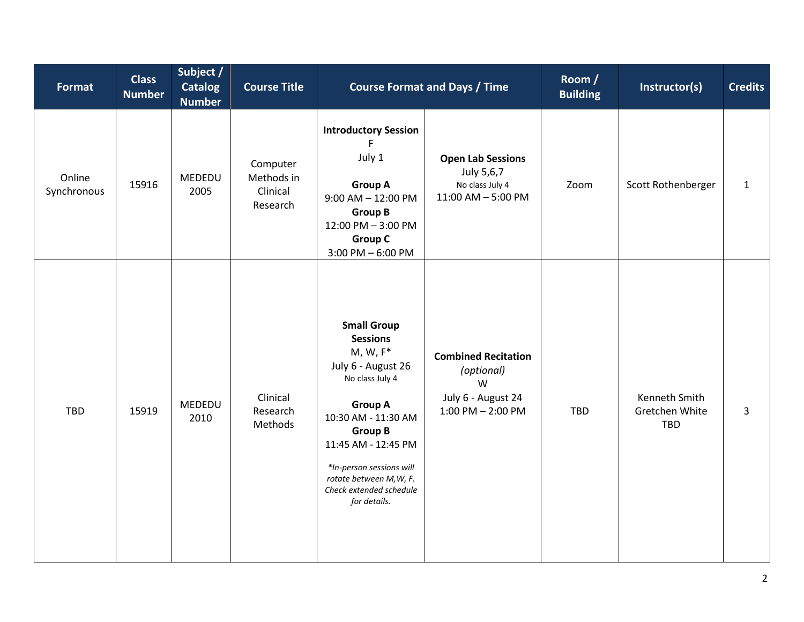| <b>Format</b>         | <b>Class</b><br><b>Number</b> | Subject /<br><b>Catalog</b><br><b>Number</b> | <b>Course Title</b>                            | <b>Course Format and Days / Time</b>                                                                                                                                                                                                                                              |                                                                                              | Room /<br><b>Building</b> | Instructor(s)                                 | <b>Credits</b> |
|-----------------------|-------------------------------|----------------------------------------------|------------------------------------------------|-----------------------------------------------------------------------------------------------------------------------------------------------------------------------------------------------------------------------------------------------------------------------------------|----------------------------------------------------------------------------------------------|---------------------------|-----------------------------------------------|----------------|
| Online<br>Synchronous | 15916                         | MEDEDU<br>2005                               | Computer<br>Methods in<br>Clinical<br>Research | <b>Introductory Session</b><br>F<br>July 1<br><b>Group A</b><br>$9:00$ AM $- 12:00$ PM<br><b>Group B</b><br>12:00 PM - 3:00 PM<br><b>Group C</b><br>$3:00$ PM $-6:00$ PM                                                                                                          | <b>Open Lab Sessions</b><br>July 5,6,7<br>No class July 4<br>$11:00$ AM $-5:00$ PM           | Zoom                      | Scott Rothenberger                            | $\mathbf{1}$   |
| TBD                   | 15919                         | MEDEDU<br>2010                               | Clinical<br>Research<br>Methods                | <b>Small Group</b><br><b>Sessions</b><br>$M, W, F^*$<br>July 6 - August 26<br>No class July 4<br><b>Group A</b><br>10:30 AM - 11:30 AM<br><b>Group B</b><br>11:45 AM - 12:45 PM<br>*In-person sessions will<br>rotate between M, W, F.<br>Check extended schedule<br>for details. | <b>Combined Recitation</b><br>(optional)<br>W<br>July 6 - August 24<br>$1:00$ PM $- 2:00$ PM | TBD                       | Kenneth Smith<br>Gretchen White<br><b>TBD</b> | 3              |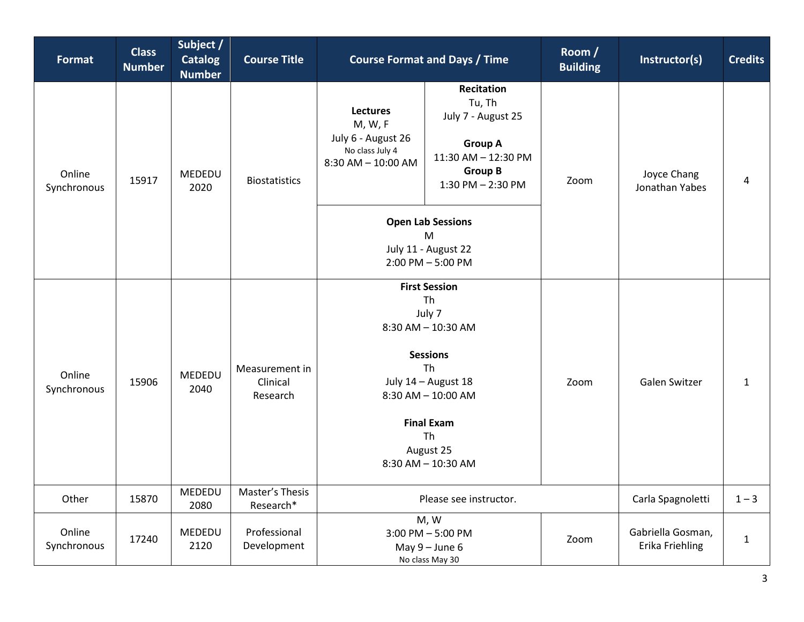| <b>Format</b>         | <b>Class</b><br><b>Number</b> | Subject /<br><b>Catalog</b><br><b>Number</b> | <b>Course Title</b>                    | <b>Course Format and Days / Time</b>                                                                                                                                                           |                                                                                                                                   | Room /<br><b>Building</b> | Instructor(s)                        | <b>Credits</b> |
|-----------------------|-------------------------------|----------------------------------------------|----------------------------------------|------------------------------------------------------------------------------------------------------------------------------------------------------------------------------------------------|-----------------------------------------------------------------------------------------------------------------------------------|---------------------------|--------------------------------------|----------------|
| Online<br>Synchronous | 15917                         | MEDEDU<br>2020                               | <b>Biostatistics</b>                   | <b>Lectures</b><br>M, W, F<br>July 6 - August 26<br>No class July 4<br>$8:30$ AM $- 10:00$ AM                                                                                                  | <b>Recitation</b><br>Tu, Th<br>July 7 - August 25<br><b>Group A</b><br>11:30 AM - 12:30 PM<br><b>Group B</b><br>1:30 PM - 2:30 PM | Zoom                      | Joyce Chang<br>Jonathan Yabes        | 4              |
|                       |                               |                                              |                                        | <b>Open Lab Sessions</b><br>M<br>July 11 - August 22<br>2:00 PM - 5:00 PM                                                                                                                      |                                                                                                                                   |                           |                                      |                |
| Online<br>Synchronous | 15906                         | MEDEDU<br>2040                               | Measurement in<br>Clinical<br>Research | <b>First Session</b><br>Th<br>July 7<br>8:30 AM - 10:30 AM<br><b>Sessions</b><br>Th<br>July 14 - August 18<br>8:30 AM - 10:00 AM<br><b>Final Exam</b><br>Th<br>August 25<br>8:30 AM - 10:30 AM |                                                                                                                                   | Zoom                      | Galen Switzer                        | 1              |
| Other                 | 15870                         | MEDEDU<br>2080                               | Master's Thesis<br>Research*           | Please see instructor.                                                                                                                                                                         |                                                                                                                                   |                           | Carla Spagnoletti                    | $1 - 3$        |
| Online<br>Synchronous | 17240                         | MEDEDU<br>2120                               | Professional<br>Development            | M, W<br>3:00 PM - 5:00 PM<br>May $9 -$ June 6<br>No class May 30                                                                                                                               |                                                                                                                                   | Zoom                      | Gabriella Gosman,<br>Erika Friehling | $\mathbf{1}$   |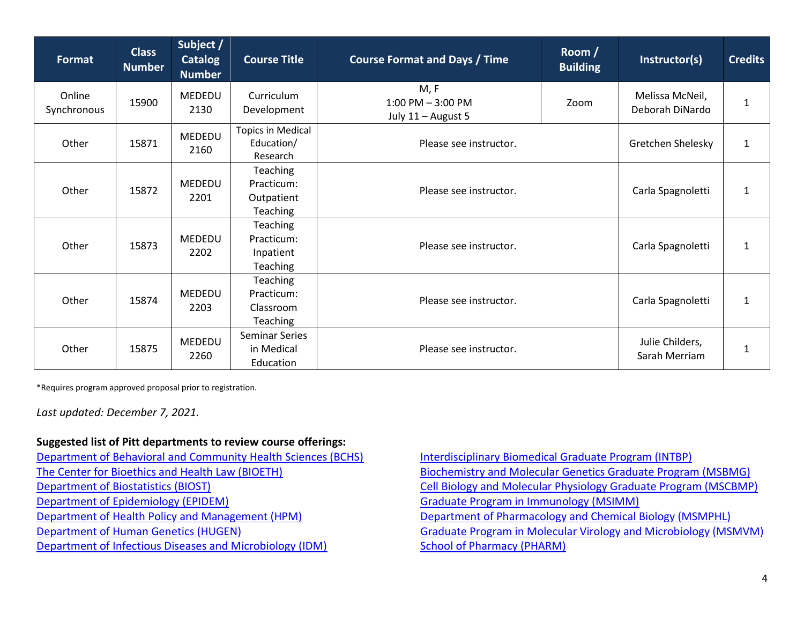| Format                | <b>Class</b><br><b>Number</b> | Subject /<br><b>Catalog</b><br><b>Number</b> | <b>Course Title</b>                                           | Room /<br><b>Course Format and Days / Time</b><br><b>Building</b> |  | Instructor(s)                      | <b>Credits</b> |
|-----------------------|-------------------------------|----------------------------------------------|---------------------------------------------------------------|-------------------------------------------------------------------|--|------------------------------------|----------------|
| Online<br>Synchronous | 15900                         | <b>MEDEDU</b><br>2130                        | Curriculum<br>Development                                     | M, F<br>$1:00$ PM $-3:00$ PM<br>Zoom<br>July 11 - August 5        |  | Melissa McNeil,<br>Deborah DiNardo | $\mathbf{1}$   |
| Other                 | 15871                         | MEDEDU<br>2160                               | <b>Topics in Medical</b><br>Education/<br>Research            | Please see instructor.                                            |  | Gretchen Shelesky                  | 1              |
| Other                 | 15872                         | MEDEDU<br>2201                               | <b>Teaching</b><br>Practicum:<br>Outpatient<br>Teaching       | Please see instructor.                                            |  |                                    | $\mathbf{1}$   |
| Other                 | 15873                         | MEDEDU<br>2202                               | <b>Teaching</b><br>Practicum:<br>Inpatient<br>Teaching        | Please see instructor.                                            |  |                                    | $\mathbf{1}$   |
| Other                 | 15874                         | <b>MEDEDU</b><br>2203                        | <b>Teaching</b><br>Practicum:<br>Classroom<br><b>Teaching</b> | Please see instructor.                                            |  |                                    | 1              |
| Other                 | 15875                         | <b>MEDEDU</b><br>2260                        | <b>Seminar Series</b><br>in Medical<br>Education              | Please see instructor.                                            |  |                                    | 1              |

\*Requires program approved proposal prior to registration.

*Last updated: December 7, 2021.*

## **Suggested list of Pitt departments to review course offerings:**

[Department of Behavioral and Community Health Sciences \(BCHS\)](http://www.publichealth.pitt.edu/behavioral-and-community-health-sciences) [The Center for Bioethics and Health Law \(BIOETH\)](http://www.bioethics.pitt.edu/) [Department of Biostatistics \(BIOST\)](http://www.publichealth.pitt.edu/biostatistics) [Department of Epidemiology \(EPIDEM\)](http://www.publichealth.pitt.edu/epidemiology) [Department of Health Policy and Management \(HPM\)](http://www.publichealth.pitt.edu/health-policy-and-management) [Department of Human Genetics \(HUGEN\)](http://www.publichealth.pitt.edu/human-genetics) [Department of Infectious Diseases and Microbiology \(IDM\)](http://www.publichealth.pitt.edu/infectious-diseases-and-microbiology)

[Interdisciplinary Biomedical Graduate Program \(INTBP\)](http://www.gradbiomed.pitt.edu/) [Biochemistry and Molecular Genetics Graduate Program \(MSBMG\)](http://www.biology.pitt.edu/graduate) [Cell Biology and Molecular Physiology Graduate Program \(MSCBMP\)](http://www.cbp.pitt.edu/education/education.html) [Graduate Program in Immunology \(MSIMM\)](http://www.immunology.pitt.edu/graduate) [Department of Pharmacology and Chemical Biology \(MSMPHL\)](http://pharmacology.medicine.pitt.edu/) [Graduate Program in Molecular Virology and Microbiology \(MSMVM\)](http://www.mvm.pitt.edu/) [School of Pharmacy \(PHARM\)](http://www.pharmacy.pitt.edu/)